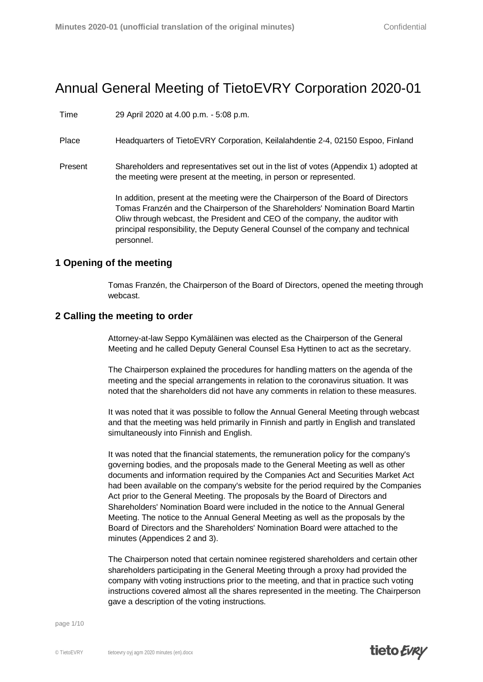# Annual General Meeting of TietoEVRY Corporation 2020-01

Time 29 April 2020 at 4.00 p.m. - 5:08 p.m.

Place Headquarters of TietoEVRY Corporation, Keilalahdentie 2-4, 02150 Espoo, Finland

Present Shareholders and representatives set out in the list of votes (Appendix 1) adopted at the meeting were present at the meeting, in person or represented.

> In addition, present at the meeting were the Chairperson of the Board of Directors Tomas Franzén and the Chairperson of the Shareholders' Nomination Board Martin Oliw through webcast, the President and CEO of the company, the auditor with principal responsibility, the Deputy General Counsel of the company and technical personnel.

## **1 Opening of the meeting**

Tomas Franzén, the Chairperson of the Board of Directors, opened the meeting through webcast.

## **2 Calling the meeting to order**

Attorney-at-law Seppo Kymäläinen was elected as the Chairperson of the General Meeting and he called Deputy General Counsel Esa Hyttinen to act as the secretary.

The Chairperson explained the procedures for handling matters on the agenda of the meeting and the special arrangements in relation to the coronavirus situation. It was noted that the shareholders did not have any comments in relation to these measures.

It was noted that it was possible to follow the Annual General Meeting through webcast and that the meeting was held primarily in Finnish and partly in English and translated simultaneously into Finnish and English.

It was noted that the financial statements, the remuneration policy for the company's governing bodies, and the proposals made to the General Meeting as well as other documents and information required by the Companies Act and Securities Market Act had been available on the company's website for the period required by the Companies Act prior to the General Meeting. The proposals by the Board of Directors and Shareholders' Nomination Board were included in the notice to the Annual General Meeting. The notice to the Annual General Meeting as well as the proposals by the Board of Directors and the Shareholders' Nomination Board were attached to the minutes (Appendices 2 and 3).

The Chairperson noted that certain nominee registered shareholders and certain other shareholders participating in the General Meeting through a proxy had provided the company with voting instructions prior to the meeting, and that in practice such voting instructions covered almost all the shares represented in the meeting. The Chairperson gave a description of the voting instructions.

page 1/10

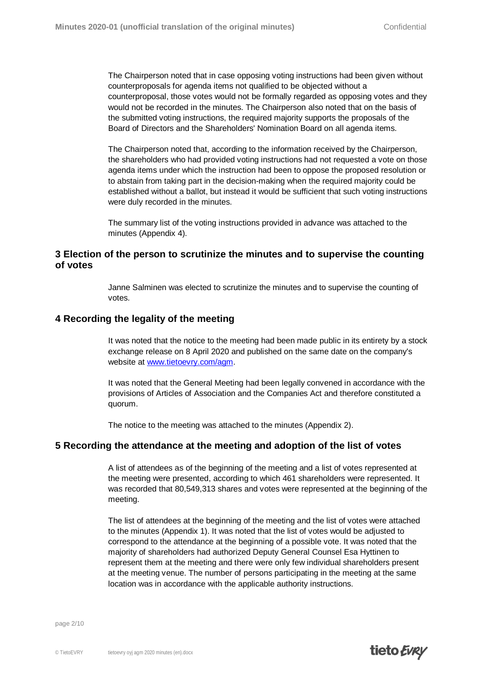The Chairperson noted that in case opposing voting instructions had been given without counterproposals for agenda items not qualified to be objected without a counterproposal, those votes would not be formally regarded as opposing votes and they would not be recorded in the minutes. The Chairperson also noted that on the basis of the submitted voting instructions, the required majority supports the proposals of the Board of Directors and the Shareholders' Nomination Board on all agenda items.

The Chairperson noted that, according to the information received by the Chairperson, the shareholders who had provided voting instructions had not requested a vote on those agenda items under which the instruction had been to oppose the proposed resolution or to abstain from taking part in the decision-making when the required majority could be established without a ballot, but instead it would be sufficient that such voting instructions were duly recorded in the minutes.

The summary list of the voting instructions provided in advance was attached to the minutes (Appendix 4).

## **3 Election of the person to scrutinize the minutes and to supervise the counting of votes**

Janne Salminen was elected to scrutinize the minutes and to supervise the counting of votes.

## **4 Recording the legality of the meeting**

It was noted that the notice to the meeting had been made public in its entirety by a stock exchange [release on 8 April 2020 a](http://www.tietoevry.com/agm)nd published on the same date on the company's website at www.tietoevry.com/agm.

It was noted that the General Meeting had been legally convened in accordance with the provisions of Articles of Association and the Companies Act and therefore constituted a quorum.

The notice to the meeting was attached to the minutes (Appendix 2).

#### **5 Recording the attendance at the meeting and adoption of the list of votes**

A list of attendees as of the beginning of the meeting and a list of votes represented at the meeting were presented, according to which 461 shareholders were represented. It was recorded that 80,549,313 shares and votes were represented at the beginning of the meeting.

The list of attendees at the beginning of the meeting and the list of votes were attached to the minutes (Appendix 1). It was noted that the list of votes would be adjusted to correspond to the attendance at the beginning of a possible vote. It was noted that the majority of shareholders had authorized Deputy General Counsel Esa Hyttinen to represent them at the meeting and there were only few individual shareholders present at the meeting venue. The number of persons participating in the meeting at the same location was in accordance with the applicable authority instructions.

page 2/10

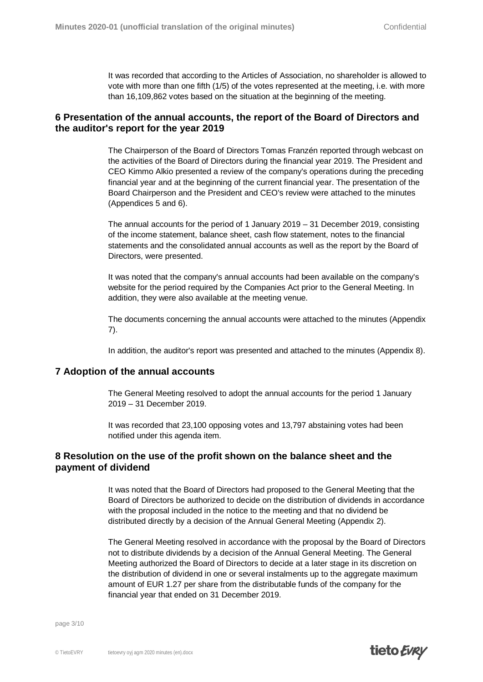It was recorded that according to the Articles of Association, no shareholder is allowed to vote with more than one fifth (1/5) of the votes represented at the meeting, i.e. with more than 16,109,862 votes based on the situation at the beginning of the meeting.

# **6 Presentation of the annual accounts, the report of the Board of Directors and the auditor's report for the year 2019**

The Chairperson of the Board of Directors Tomas Franzén reported through webcast on the activities of the Board of Directors during the financial year 2019. The President and CEO Kimmo Alkio presented a review of the company's operations during the preceding financial year and at the beginning of the current financial year. The presentation of the Board Chairperson and the President and CEO's review were attached to the minutes (Appendices 5 and 6).

The annual accounts for the period of 1 January 2019 – 31 December 2019, consisting of the income statement, balance sheet, cash flow statement, notes to the financial statements and the consolidated annual accounts as well as the report by the Board of Directors, were presented.

It was noted that the company's annual accounts had been available on the company's website for the period required by the Companies Act prior to the General Meeting. In addition, they were also available at the meeting venue.

The documents concerning the annual accounts were attached to the minutes (Appendix 7).

In addition, the auditor's report was presented and attached to the minutes (Appendix 8).

#### **7 Adoption of the annual accounts**

The General Meeting resolved to adopt the annual accounts for the period 1 January 2019 – 31 December 2019.

It was recorded that 23,100 opposing votes and 13,797 abstaining votes had been notified under this agenda item.

## **8 Resolution on the use of the profit shown on the balance sheet and the payment of dividend**

It was noted that the Board of Directors had proposed to the General Meeting that the Board of Directors be authorized to decide on the distribution of dividends in accordance with the proposal included in the notice to the meeting and that no dividend be distributed directly by a decision of the Annual General Meeting (Appendix 2).

The General Meeting resolved in accordance with the proposal by the Board of Directors not to distribute dividends by a decision of the Annual General Meeting. The General Meeting authorized the Board of Directors to decide at a later stage in its discretion on the distribution of dividend in one or several instalments up to the aggregate maximum amount of EUR 1.27 per share from the distributable funds of the company for the financial year that ended on 31 December 2019.

page 3/10

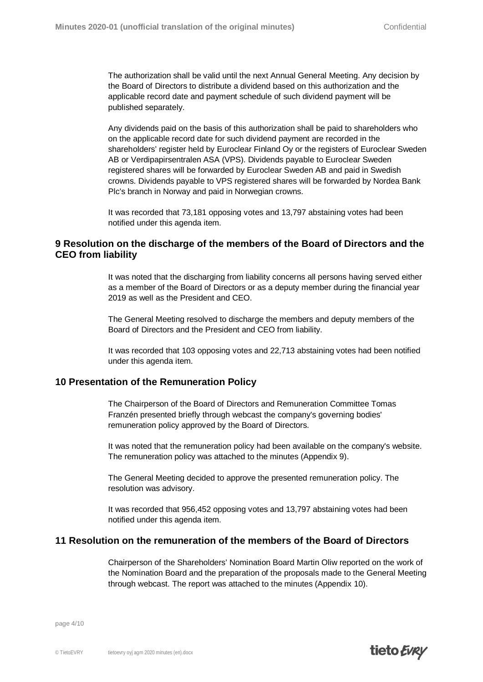The authorization shall be valid until the next Annual General Meeting. Any decision by the Board of Directors to distribute a dividend based on this authorization and the applicable record date and payment schedule of such dividend payment will be published separately.

Any dividends paid on the basis of this authorization shall be paid to shareholders who on the applicable record date for such dividend payment are recorded in the shareholders' register held by Euroclear Finland Oy or the registers of Euroclear Sweden AB or Verdipapirsentralen ASA (VPS). Dividends payable to Euroclear Sweden registered shares will be forwarded by Euroclear Sweden AB and paid in Swedish crowns. Dividends payable to VPS registered shares will be forwarded by Nordea Bank Plc's branch in Norway and paid in Norwegian crowns.

It was recorded that 73,181 opposing votes and 13,797 abstaining votes had been notified under this agenda item.

## **9 Resolution on the discharge of the members of the Board of Directors and the CEO from liability**

It was noted that the discharging from liability concerns all persons having served either as a member of the Board of Directors or as a deputy member during the financial year 2019 as well as the President and CEO.

The General Meeting resolved to discharge the members and deputy members of the Board of Directors and the President and CEO from liability.

It was recorded that 103 opposing votes and 22,713 abstaining votes had been notified under this agenda item.

#### **10 Presentation of the Remuneration Policy**

The Chairperson of the Board of Directors and Remuneration Committee Tomas Franzén presented briefly through webcast the company's governing bodies' remuneration policy approved by the Board of Directors.

It was noted that the remuneration policy had been available on the company's website. The remuneration policy was attached to the minutes (Appendix 9).

The General Meeting decided to approve the presented remuneration policy. The resolution was advisory.

It was recorded that 956,452 opposing votes and 13,797 abstaining votes had been notified under this agenda item.

#### **11 Resolution on the remuneration of the members of the Board of Directors**

Chairperson of the Shareholders' Nomination Board Martin Oliw reported on the work of the Nomination Board and the preparation of the proposals made to the General Meeting through webcast. The report was attached to the minutes (Appendix 10).

page 4/10

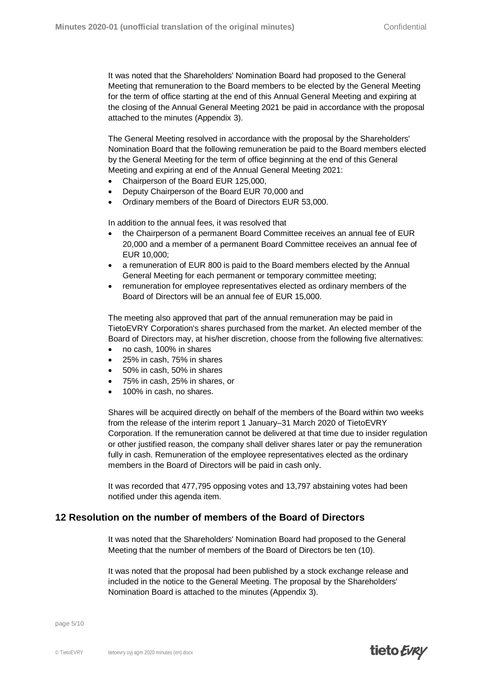It was noted that the Shareholders' Nomination Board had proposed to the General Meeting that remuneration to the Board members to be elected by the General Meeting for the term of office starting at the end of this Annual General Meeting and expiring at the closing of the Annual General Meeting 2021 be paid in accordance with the proposal attached to the minutes (Appendix 3).

The General Meeting resolved in accordance with the proposal by the Shareholders' Nomination Board that the following remuneration be paid to the Board members elected by the General Meeting for the term of office beginning at the end of this General Meeting and expiring at end of the Annual General Meeting 2021:

- x Chairperson of the Board EUR 125,000,
- Deputy Chairperson of the Board EUR 70,000 and
- x Ordinary members of the Board of Directors EUR 53,000.

In addition to the annual fees, it was resolved that

- x the Chairperson of a permanent Board Committee receives an annual fee of EUR 20,000 and a member of a permanent Board Committee receives an annual fee of EUR 10,000;
- a remuneration of EUR 800 is paid to the Board members elected by the Annual General Meeting for each permanent or temporary committee meeting;
- remuneration for employee representatives elected as ordinary members of the Board of Directors will be an annual fee of EUR 15,000.

The meeting also approved that part of the annual remuneration may be paid in TietoEVRY Corporation's shares purchased from the market. An elected member of the Board of Directors may, at his/her discretion, choose from the following five alternatives:

- no cash, 100% in shares
- 25% in cash, 75% in shares
- 50% in cash, 50% in shares
- 75% in cash, 25% in shares, or
- 100% in cash, no shares.

Shares will be acquired directly on behalf of the members of the Board within two weeks from the release of the interim report 1 January–31 March 2020 of TietoEVRY Corporation. If the remuneration cannot be delivered at that time due to insider regulation or other justified reason, the company shall deliver shares later or pay the remuneration fully in cash. Remuneration of the employee representatives elected as the ordinary members in the Board of Directors will be paid in cash only.

It was recorded that 477,795 opposing votes and 13,797 abstaining votes had been notified under this agenda item.

## **12 Resolution on the number of members of the Board of Directors**

It was noted that the Shareholders' Nomination Board had proposed to the General Meeting that the number of members of the Board of Directors be ten (10).

It was noted that the proposal had been published by a stock exchange release and included in the notice to the General Meeting. The proposal by the Shareholders' Nomination Board is attached to the minutes (Appendix 3).

page 5/10

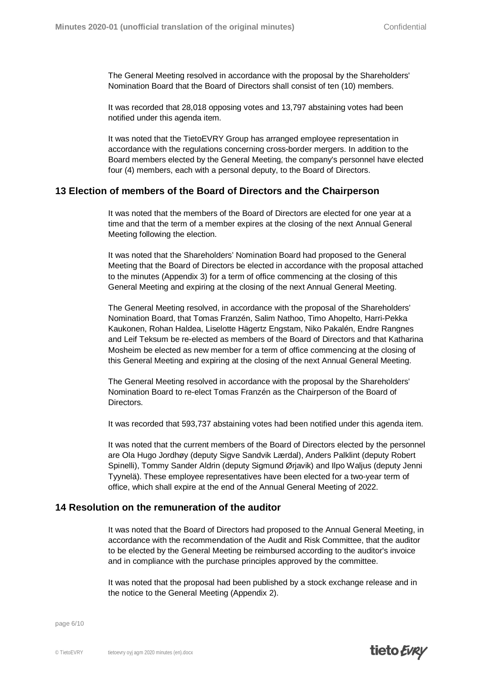The General Meeting resolved in accordance with the proposal by the Shareholders' Nomination Board that the Board of Directors shall consist of ten (10) members.

It was recorded that 28,018 opposing votes and 13,797 abstaining votes had been notified under this agenda item.

It was noted that the TietoEVRY Group has arranged employee representation in accordance with the regulations concerning cross-border mergers. In addition to the Board members elected by the General Meeting, the company's personnel have elected four (4) members, each with a personal deputy, to the Board of Directors.

#### **13 Election of members of the Board of Directors and the Chairperson**

It was noted that the members of the Board of Directors are elected for one year at a time and that the term of a member expires at the closing of the next Annual General Meeting following the election.

It was noted that the Shareholders' Nomination Board had proposed to the General Meeting that the Board of Directors be elected in accordance with the proposal attached to the minutes (Appendix 3) for a term of office commencing at the closing of this General Meeting and expiring at the closing of the next Annual General Meeting.

The General Meeting resolved, in accordance with the proposal of the Shareholders' Nomination Board, that Tomas Franzén, Salim Nathoo, Timo Ahopelto, Harri-Pekka Kaukonen, Rohan Haldea, Liselotte Hägertz Engstam, Niko Pakalén, Endre Rangnes and Leif Teksum be re-elected as members of the Board of Directors and that Katharina Mosheim be elected as new member for a term of office commencing at the closing of this General Meeting and expiring at the closing of the next Annual General Meeting.

The General Meeting resolved in accordance with the proposal by the Shareholders' Nomination Board to re-elect Tomas Franzén as the Chairperson of the Board of Directors.

It was recorded that 593,737 abstaining votes had been notified under this agenda item.

It was noted that the current members of the Board of Directors elected by the personnel are Ola Hugo Jordhøy (deputy Sigve Sandvik Lærdal), Anders Palklint (deputy Robert Spinelli), Tommy Sander Aldrin (deputy Sigmund Ørjavik) and Ilpo Waljus (deputy Jenni Tyynelä). These employee representatives have been elected for a two-year term of office, which shall expire at the end of the Annual General Meeting of 2022.

#### **14 Resolution on the remuneration of the auditor**

It was noted that the Board of Directors had proposed to the Annual General Meeting, in accordance with the recommendation of the Audit and Risk Committee, that the auditor to be elected by the General Meeting be reimbursed according to the auditor's invoice and in compliance with the purchase principles approved by the committee.

It was noted that the proposal had been published by a stock exchange release and in the notice to the General Meeting (Appendix 2).

page 6/10

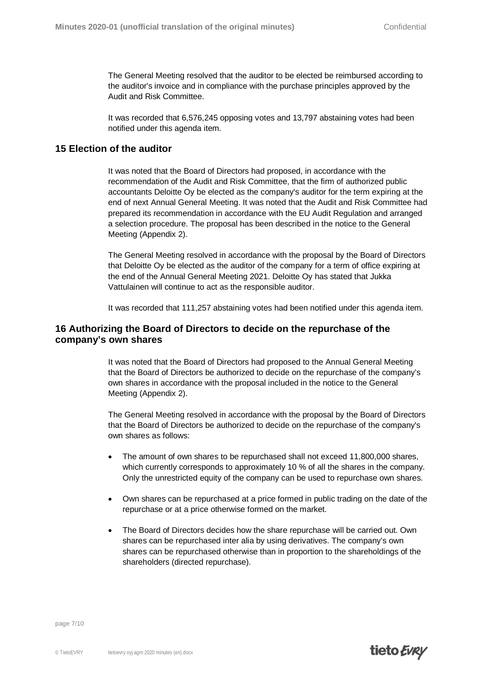The General Meeting resolved that the auditor to be elected be reimbursed according to the auditor's invoice and in compliance with the purchase principles approved by the Audit and Risk Committee.

It was recorded that 6,576,245 opposing votes and 13,797 abstaining votes had been notified under this agenda item.

# **15 Election of the auditor**

It was noted that the Board of Directors had proposed, in accordance with the recommendation of the Audit and Risk Committee, that the firm of authorized public accountants Deloitte Oy be elected as the company's auditor for the term expiring at the end of next Annual General Meeting. It was noted that the Audit and Risk Committee had prepared its recommendation in accordance with the EU Audit Regulation and arranged a selection procedure. The proposal has been described in the notice to the General Meeting (Appendix 2).

The General Meeting resolved in accordance with the proposal by the Board of Directors that Deloitte Oy be elected as the auditor of the company for a term of office expiring at the end of the Annual General Meeting 2021. Deloitte Oy has stated that Jukka Vattulainen will continue to act as the responsible auditor.

It was recorded that 111,257 abstaining votes had been notified under this agenda item.

# **16 Authorizing the Board of Directors to decide on the repurchase of the company's own shares**

It was noted that the Board of Directors had proposed to the Annual General Meeting that the Board of Directors be authorized to decide on the repurchase of the company's own shares in accordance with the proposal included in the notice to the General Meeting (Appendix 2).

The General Meeting resolved in accordance with the proposal by the Board of Directors that the Board of Directors be authorized to decide on the repurchase of the company's own shares as follows:

- The amount of own shares to be repurchased shall not exceed 11,800,000 shares, which currently corresponds to approximately 10 % of all the shares in the company. Only the unrestricted equity of the company can be used to repurchase own shares.
- Own shares can be repurchased at a price formed in public trading on the date of the repurchase or at a price otherwise formed on the market.
- The Board of Directors decides how the share repurchase will be carried out. Own shares can be repurchased inter alia by using derivatives. The company's own shares can be repurchased otherwise than in proportion to the shareholdings of the shareholders (directed repurchase).

page 7/10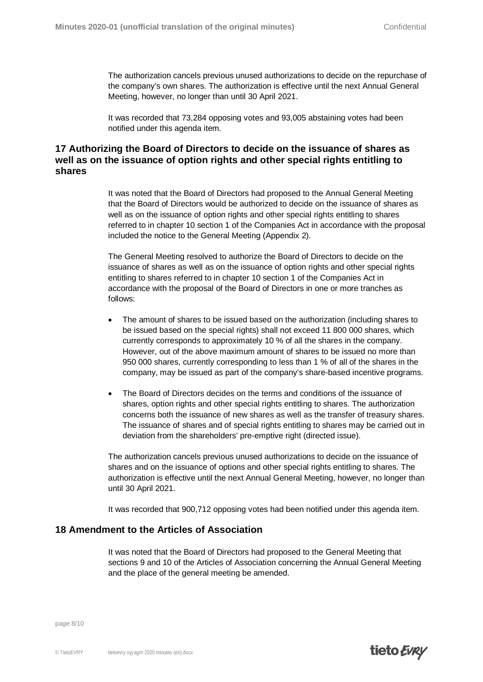The authorization cancels previous unused authorizations to decide on the repurchase of the company's own shares. The authorization is effective until the next Annual General Meeting, however, no longer than until 30 April 2021.

It was recorded that 73,284 opposing votes and 93,005 abstaining votes had been notified under this agenda item.

# **17 Authorizing the Board of Directors to decide on the issuance of shares as well as on the issuance of option rights and other special rights entitling to shares**

It was noted that the Board of Directors had proposed to the Annual General Meeting that the Board of Directors would be authorized to decide on the issuance of shares as well as on the issuance of option rights and other special rights entitling to shares referred to in chapter 10 section 1 of the Companies Act in accordance with the proposal included the notice to the General Meeting (Appendix 2).

The General Meeting resolved to authorize the Board of Directors to decide on the issuance of shares as well as on the issuance of option rights and other special rights entitling to shares referred to in chapter 10 section 1 of the Companies Act in accordance with the proposal of the Board of Directors in one or more tranches as follows:

- The amount of shares to be issued based on the authorization (including shares to be issued based on the special rights) shall not exceed 11 800 000 shares, which currently corresponds to approximately 10 % of all the shares in the company. However, out of the above maximum amount of shares to be issued no more than 950 000 shares, currently corresponding to less than 1 % of all of the shares in the company, may be issued as part of the company's share-based incentive programs.
- The Board of Directors decides on the terms and conditions of the issuance of shares, option rights and other special rights entitling to shares. The authorization concerns both the issuance of new shares as well as the transfer of treasury shares. The issuance of shares and of special rights entitling to shares may be carried out in deviation from the shareholders' pre-emptive right (directed issue).

The authorization cancels previous unused authorizations to decide on the issuance of shares and on the issuance of options and other special rights entitling to shares. The authorization is effective until the next Annual General Meeting, however, no longer than until 30 April 2021.

It was recorded that 900,712 opposing votes had been notified under this agenda item.

## **18 Amendment to the Articles of Association**

It was noted that the Board of Directors had proposed to the General Meeting that sections 9 and 10 of the Articles of Association concerning the Annual General Meeting and the place of the general meeting be amended.

page 8/10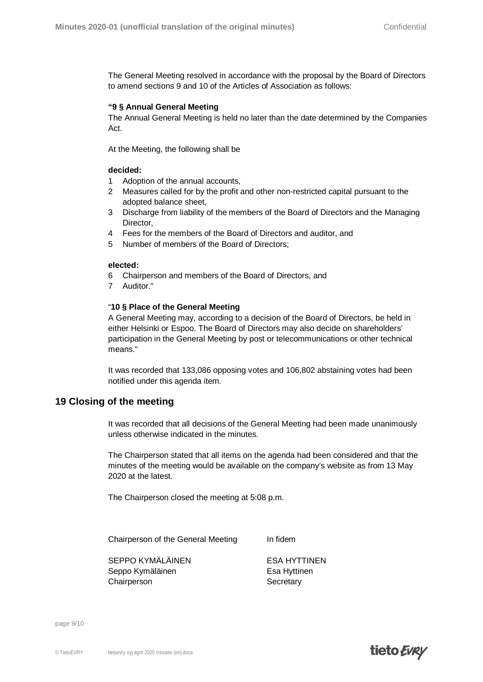The General Meeting resolved in accordance with the proposal by the Board of Directors to amend sections 9 and 10 of the Articles of Association as follows:

#### **"9 § Annual General Meeting**

The Annual General Meeting is held no later than the date determined by the Companies Act.

At the Meeting, the following shall be

#### **decided:**

- 1 Adoption of the annual accounts,
- 2 Measures called for by the profit and other non-restricted capital pursuant to the adopted balance sheet,
- 3 Discharge from liability of the members of the Board of Directors and the Managing Director,
- 4 Fees for the members of the Board of Directors and auditor, and
- 5 Number of members of the Board of Directors;

#### **elected:**

- 6 Chairperson and members of the Board of Directors, and
- 7 Auditor."

#### "**10 § Place of the General Meeting**

A General Meeting may, according to a decision of the Board of Directors, be held in either Helsinki or Espoo. The Board of Directors may also decide on shareholders' participation in the General Meeting by post or telecommunications or other technical means."

It was recorded that 133,086 opposing votes and 106,802 abstaining votes had been notified under this agenda item.

#### **19 Closing of the meeting**

It was recorded that all decisions of the General Meeting had been made unanimously unless otherwise indicated in the minutes.

The Chairperson stated that all items on the agenda had been considered and that the minutes of the meeting would be available on the company's website as from 13 May 2020 at the latest.

The Chairperson closed the meeting at 5:08 p.m.

Chairperson of the General Meeting In fidem

SEPPO KYMÄLÄINEN ESA HYTTINEN Seppo Kymäläinen Esa Hyttinen Chairperson Secretary

page 9/10